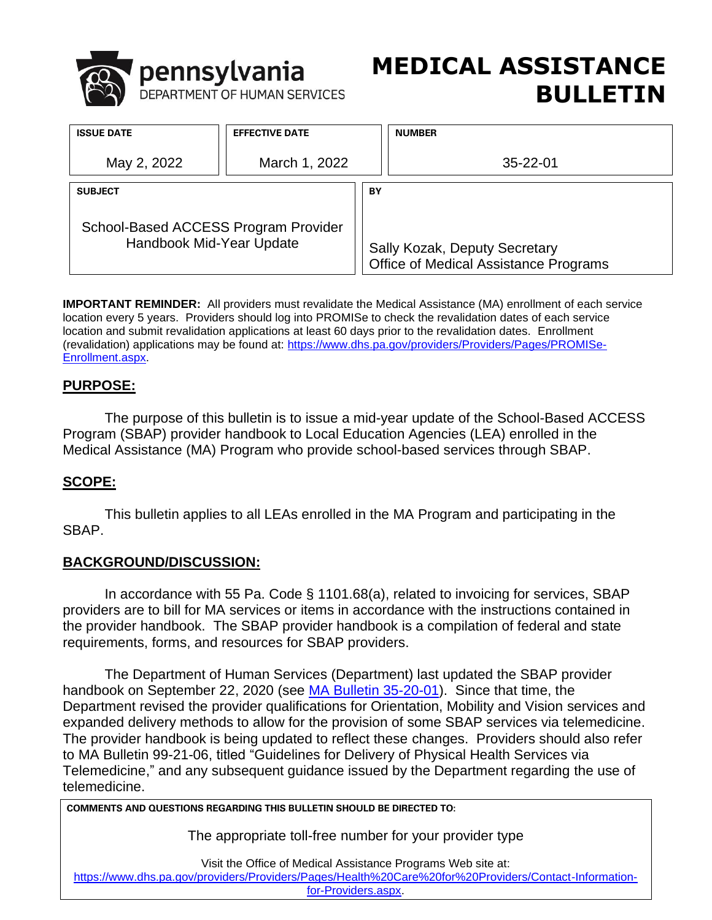

# **MEDICAL ASSISTANCE BULLETIN**

| <b>ISSUE DATE</b>                                                | <b>EFFECTIVE DATE</b> |    | <b>NUMBER</b>                                                          |
|------------------------------------------------------------------|-----------------------|----|------------------------------------------------------------------------|
| May 2, 2022                                                      | March 1, 2022         |    | $35 - 22 - 01$                                                         |
| <b>SUBJECT</b>                                                   |                       | BY |                                                                        |
| School-Based ACCESS Program Provider<br>Handbook Mid-Year Update |                       |    | Sally Kozak, Deputy Secretary<br>Office of Medical Assistance Programs |

**IMPORTANT REMINDER:** All providers must revalidate the Medical Assistance (MA) enrollment of each service location every 5 years. Providers should log into PROMISe to check the revalidation dates of each service location and submit revalidation applications at least 60 days prior to the revalidation dates. Enrollment (revalidation) applications may be found at: [https://www.dhs.pa.gov/providers/Providers/Pages/PROMISe-](https://www.dhs.pa.gov/providers/Providers/Pages/PROMISe-Enrollment.aspx)[Enrollment.aspx.](https://www.dhs.pa.gov/providers/Providers/Pages/PROMISe-Enrollment.aspx)

# **PURPOSE:**

The purpose of this bulletin is to issue a mid-year update of the School-Based ACCESS Program (SBAP) provider handbook to Local Education Agencies (LEA) enrolled in the Medical Assistance (MA) Program who provide school-based services through SBAP.

# **SCOPE:**

This bulletin applies to all LEAs enrolled in the MA Program and participating in the SBAP.

# **BACKGROUND/DISCUSSION:**

In accordance with 55 Pa. Code § 1101.68(a), related to invoicing for services, SBAP providers are to bill for MA services or items in accordance with the instructions contained in the provider handbook. The SBAP provider handbook is a compilation of federal and state requirements, forms, and resources for SBAP providers.

The Department of Human Services (Department) last updated the SBAP provider handbook on September 22, 2020 (see [MA Bulletin 35-20-01\)](https://www.dhs.pa.gov/providers/Documents/School-Based%20ACCESS%20Program/SBAP%20Handbook%20MAB.pdf). Since that time, the Department revised the provider qualifications for Orientation, Mobility and Vision services and expanded delivery methods to allow for the provision of some SBAP services via telemedicine. The provider handbook is being updated to reflect these changes. Providers should also refer to MA Bulletin 99-21-06, titled "Guidelines for Delivery of Physical Health Services via Telemedicine," and any subsequent guidance issued by the Department regarding the use of telemedicine.

**COMMENTS AND QUESTIONS REGARDING THIS BULLETIN SHOULD BE DIRECTED TO:**

The appropriate toll-free number for your provider type

Visit the Office of Medical Assistance Programs Web site at:

[https://www.dhs.pa.gov/providers/Providers/Pages/Health%20Care%20for%20Providers/Contact-Information-](https://www.dhs.pa.gov/providers/Providers/Pages/Health%20Care%20for%20Providers/Contact-Information-for-Providers.aspx)

[for-Providers.aspx.](https://www.dhs.pa.gov/providers/Providers/Pages/Health%20Care%20for%20Providers/Contact-Information-for-Providers.aspx)